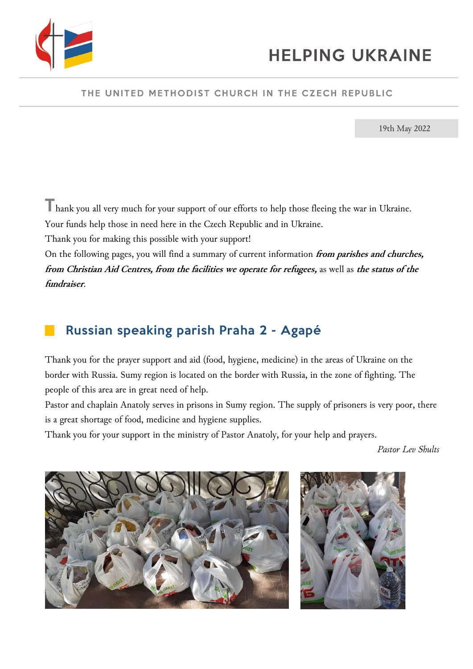

#### THE UNITED METHODIST CHURCH IN THE CZECH REPUBLIC

19th May 2022

Thank you all very much for your support of our efforts to help those fleeing the war in Ukraine.

Your funds help those in need here in the Czech Republic and in Ukraine.

Thank you for making this possible with your support!

On the following pages, you will find a summary of current information **from parishes and churches, from Christian Aid Centres, from the facilities we operate for refugees,** as well as **the status of the fundraiser**.

# ▉ Russian speaking parish Praha 2 - Agapé

Thank you for the prayer support and aid (food, hygiene, medicine) in the areas of Ukraine on the border with Russia. Sumy region is located on the border with Russia, in the zone of fighting. The people of this area are in great need of help.

Pastor and chaplain Anatoly serves in prisons in Sumy region. The supply of prisoners is very poor, there is a great shortage of food, medicine and hygiene supplies.

Thank you for your support in the ministry of Pastor Anatoly, for your help and prayers.

*Pastor Lev Shults*



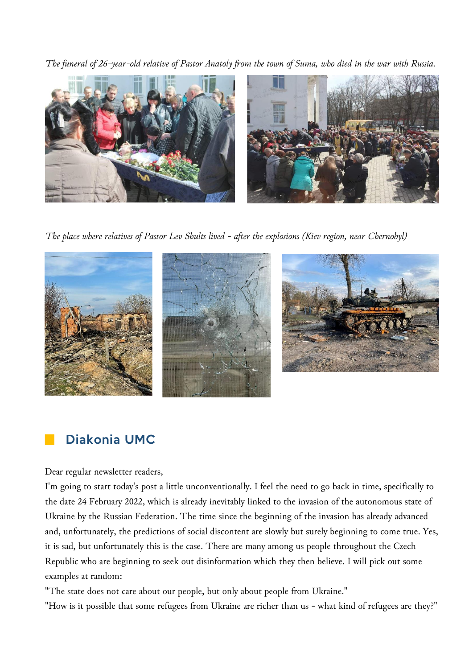*The funeral of 26-year-old relative of Pastor Anatoly from the town of Suma, who died in the war with Russia.*



*The place where relatives of Pastor Lev Shults lived - after the explosions (Kiev region, near Chernobyl)*



## Diakonia UMC

#### Dear regular newsletter readers,

I'm going to start today's post a little unconventionally. I feel the need to go back in time, specifically to the date 24 February 2022, which is already inevitably linked to the invasion of the autonomous state of Ukraine by the Russian Federation. The time since the beginning of the invasion has already advanced and, unfortunately, the predictions of social discontent are slowly but surely beginning to come true. Yes, it is sad, but unfortunately this is the case. There are many among us people throughout the Czech Republic who are beginning to seek out disinformation which they then believe. I will pick out some examples at random:

"The state does not care about our people, but only about people from Ukraine."

"How is it possible that some refugees from Ukraine are richer than us - what kind of refugees are they?"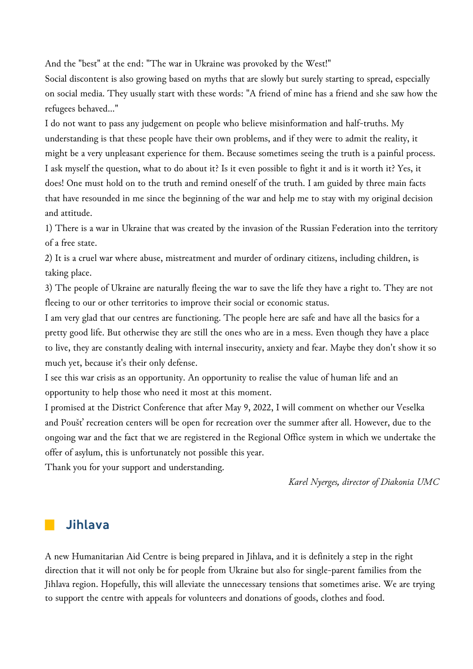And the "best" at the end: "The war in Ukraine was provoked by the West!"

Social discontent is also growing based on myths that are slowly but surely starting to spread, especially on social media. They usually start with these words: "A friend of mine has a friend and she saw how the refugees behaved..."

I do not want to pass any judgement on people who believe misinformation and half-truths. My understanding is that these people have their own problems, and if they were to admit the reality, it might be a very unpleasant experience for them. Because sometimes seeing the truth is a painful process. I ask myself the question, what to do about it? Is it even possible to fight it and is it worth it? Yes, it does! One must hold on to the truth and remind oneself of the truth. I am guided by three main facts that have resounded in me since the beginning of the war and help me to stay with my original decision and attitude.

1) There is a war in Ukraine that was created by the invasion of the Russian Federation into the territory of a free state.

2) It is a cruel war where abuse, mistreatment and murder of ordinary citizens, including children, is taking place.

3) The people of Ukraine are naturally fleeing the war to save the life they have a right to. They are not fleeing to our or other territories to improve their social or economic status.

I am very glad that our centres are functioning. The people here are safe and have all the basics for a pretty good life. But otherwise they are still the ones who are in a mess. Even though they have a place to live, they are constantly dealing with internal insecurity, anxiety and fear. Maybe they don't show it so much yet, because it's their only defense.

I see this war crisis as an opportunity. An opportunity to realise the value of human life and an opportunity to help those who need it most at this moment.

I promised at the District Conference that after May 9, 2022, I will comment on whether our Veselka and Poušť recreation centers will be open for recreation over the summer after all. However, due to the ongoing war and the fact that we are registered in the Regional Office system in which we undertake the offer of asylum, this is unfortunately not possible this year.

Thank you for your support and understanding.

*Karel Nyerges, director of Diakonia UMC*

### ▉ Jihlava

A new Humanitarian Aid Centre is being prepared in Jihlava, and it is definitely a step in the right direction that it will not only be for people from Ukraine but also for single-parent families from the Jihlava region. Hopefully, this will alleviate the unnecessary tensions that sometimes arise. We are trying to support the centre with appeals for volunteers and donations of goods, clothes and food.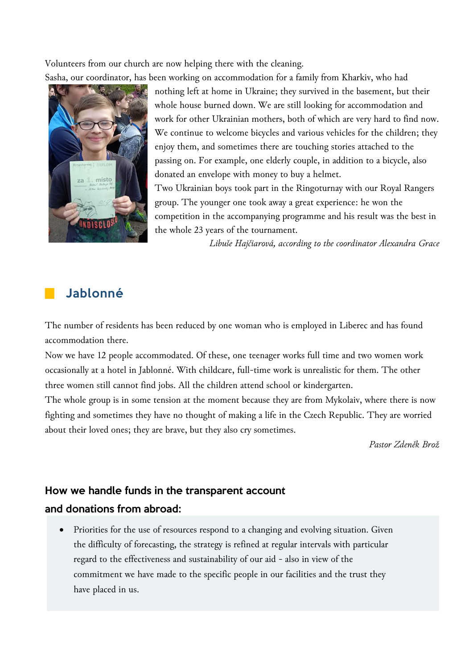Volunteers from our church are now helping there with the cleaning.

Sasha, our coordinator, has been working on accommodation for a family from Kharkiv, who had



nothing left at home in Ukraine; they survived in the basement, but their whole house burned down. We are still looking for accommodation and work for other Ukrainian mothers, both of which are very hard to find now. We continue to welcome bicycles and various vehicles for the children; they enjoy them, and sometimes there are touching stories attached to the passing on. For example, one elderly couple, in addition to a bicycle, also donated an envelope with money to buy a helmet.

Two Ukrainian boys took part in the Ringoturnay with our Royal Rangers group. The younger one took away a great experience: he won the competition in the accompanying programme and his result was the best in the whole 23 years of the tournament.

*Libuše Hajčiarová, according to the coordinator Alexandra Grace* 

### **Jablonné**

The number of residents has been reduced by one woman who is employed in Liberec and has found accommodation there.

Now we have 12 people accommodated. Of these, one teenager works full time and two women work occasionally at a hotel in Jablonné. With childcare, full-time work is unrealistic for them. The other three women still cannot find jobs. All the children attend school or kindergarten.

The whole group is in some tension at the moment because they are from Mykolaiv, where there is now fighting and sometimes they have no thought of making a life in the Czech Republic. They are worried about their loved ones; they are brave, but they also cry sometimes.

*Pastor Zdeněk Brož*

### How we handle funds in the transparent account

### and donations from abroad:

• Priorities for the use of resources respond to a changing and evolving situation. Given the difficulty of forecasting, the strategy is refined at regular intervals with particular regard to the effectiveness and sustainability of our aid - also in view of the commitment we have made to the specific people in our facilities and the trust they have placed in us.